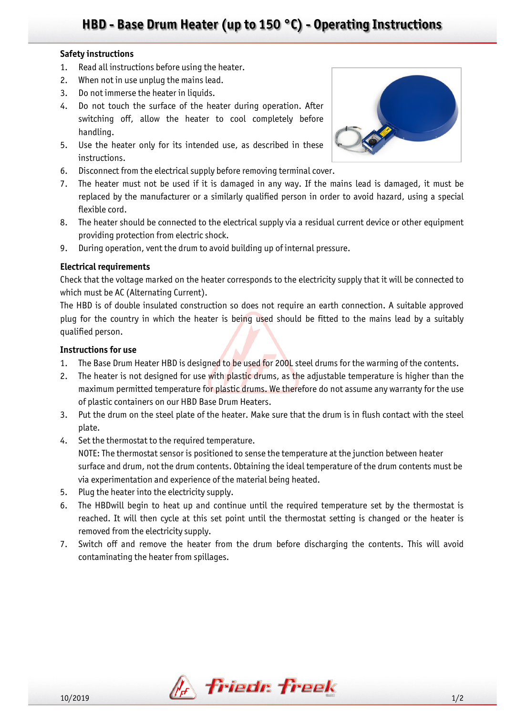## **HBD - Base Drum Heater (up to 150 °C) - Operating Instructions**

### **Safety instructions**

- 1. Read all instructions before using the heater.
- 2. When not in use unplug the mains lead.
- 3. Do not immerse the heater in liquids.
- 4. Do not touch the surface of the heater during operation. After switching off, allow the heater to cool completely before handling.
- 5. Use the heater only for its intended use, as described in these instructions.
- 6. Disconnect from the electrical supply before removing terminal cover.
- 7. The heater must not be used if it is damaged in any way. If the mains lead is damaged, it must be replaced by the manufacturer or a similarly qualified person in order to avoid hazard, using a special flexible cord.
- 8. The heater should be connected to the electrical supply via a residual current device or other equipment providing protection from electric shock.
- 9. During operation, vent the drum to avoid building up of internal pressure.

## **Electrical requirements**

Check that the voltage marked on the heater corresponds to the electricity supply that it will be connected to which must be AC (Alternating Current).

The HBD is of double insulated construction so does not require an earth connection. A suitable approved plug for the country in which the heater is being used should be fitted to the mains lead by a suitably qualified person.

## **Instructions for use**

- 1. The Base Drum Heater HBD is designed to be used for 200L steel drums for the warming of the contents.
- 2. The heater is not designed for use with plastic drums, as the adjustable temperature is higher than the maximum permitted temperature for plastic drums. We therefore do not assume any warranty for the use of plastic containers on our HBD Base Drum Heaters.
- 3. Put the drum on the steel plate of the heater. Make sure that the drum is in flush contact with the steel plate.
- 4. Set the thermostat to the required temperature. NOTE: The thermostat sensor is positioned to sense the temperature at the junction between heater surface and drum, not the drum contents. Obtaining the ideal temperature of the drum contents must be via experimentation and experience of the material being heated.
- 5. Plug the heater into the electricity supply.
- 6. The HBDwill begin to heat up and continue until the required temperature set by the thermostat is reached. It will then cycle at this set point until the thermostat setting is changed or the heater is removed from the electricity supply.
- 7. Switch off and remove the heater from the drum before discharging the contents. This will avoid contaminating the heater from spillages.